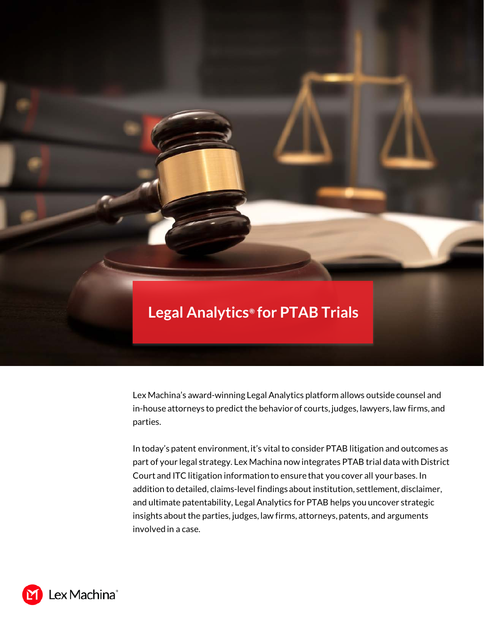# **Legal Analytics***®* **for PTAB Trials**

Lex Machina's award-winning Legal Analytics platform allows outside counsel and in-house attorneys to predict the behavior of courts, judges, lawyers, law firms, and parties.

In today's patent environment, it's vital to consider PTAB litigation and outcomes as part of your legal strategy. Lex Machina now integrates PTAB trial data with District Court and ITC litigation information to ensure that you cover all your bases. In addition to detailed, claims-level findings about institution, settlement, disclaimer, and ultimate patentability, Legal Analytics for PTAB helps you uncover strategic insights about the parties, judges, law firms, attorneys, patents, and arguments involved in a case.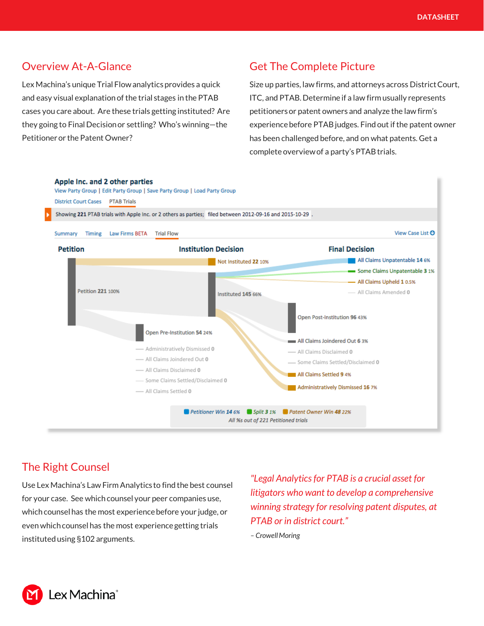## Overview At-A-Glance

Lex Machina's unique Trial Flow analytics provides a quick and easy visual explanation of the trial stages in the PTAB cases you care about. Are these trials getting instituted? Are they going to Final Decision or settling? Who's winning—the Petitioner or the Patent Owner?

# Get The Complete Picture

Size up parties, law firms, and attorneys across District Court, ITC, and PTAB. Determine if a law firm usually represents petitioners or patent owners and analyze the law firm's experience before PTAB judges. Find out if the patent owner has been challenged before, and on what patents. Get a complete overview of a party's PTAB trials.



### The Right Counsel

Use Lex Machina's Law Firm Analytics to find the best counsel for your case. See which counsel your peer companies use, which counsel has the most experience before your judge, or even which counsel has the most experience getting trials instituted using §102 arguments.

*"Legal Analytics for PTAB is a crucial asset for litigators who want to develop a comprehensive winning strategy for resolving patent disputes, at PTAB or in district court."* 

*– Crowell Moring*